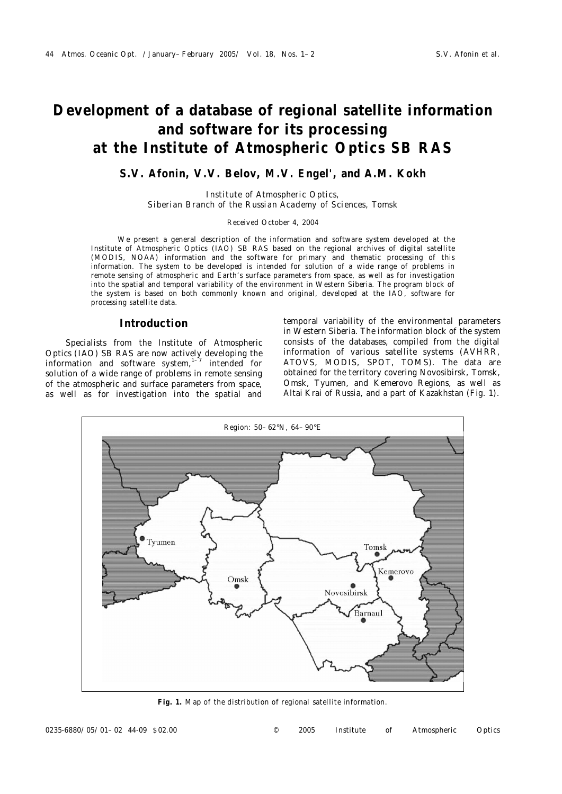# **Development of a database of regional satellite information and software for its processing at the Institute of Atmospheric Optics SB RAS**

# **S.V. Afonin, V.V. Belov, M.V. Engel', and A.M. Kokh**

*Institute of Atmospheric Optics, Siberian Branch of the Russian Academy of Sciences, Tomsk*

#### Received October 4, 2004

We present a general description of the information and software system developed at the Institute of Atmospheric Optics (IAO) SB RAS based on the regional archives of digital satellite (MODIS, NOAA) information and the software for primary and thematic processing of this information. The system to be developed is intended for solution of a wide range of problems in remote sensing of atmospheric and Earth's surface parameters from space, as well as for investigation into the spatial and temporal variability of the environment in Western Siberia. The program block of the system is based on both commonly known and original, developed at the IAO, software for processing satellite data.

## **Introduction**

Specialists from the Institute of Atmospheric Optics (IAO) SB RAS are now actively developing the information and software system, $1-\overline{7}$  intended for solution of a wide range of problems in remote sensing of the atmospheric and surface parameters from space, as well as for investigation into the spatial and

temporal variability of the environmental parameters in Western Siberia. The information block of the system consists of the databases, compiled from the digital information of various satellite systems (AVHRR, ATOVS, MODIS, SPOT, TOMS). The data are obtained for the territory covering Novosibirsk, Tomsk, Omsk, Tyumen, and Kemerovo Regions, as well as Altai Krai of Russia, and a part of Kazakhstan (Fig. 1).



**Fig. 1.** Map of the distribution of regional satellite information.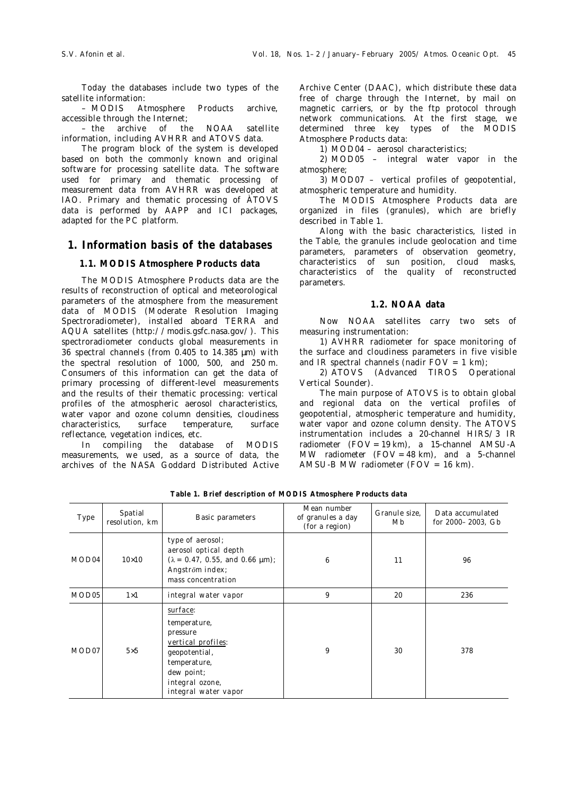Today the databases include two types of the satellite information:

– MODIS Atmosphere Products archive, accessible through the Internet;

– the archive of the NOAA satellite information, including AVHRR and ATOVS data.

The program block of the system is developed based on both the commonly known and original software for processing satellite data. The software used for primary and thematic processing of measurement data from AVHRR was developed at IAO. Primary and thematic processing of ÀTOVS data is performed by AAPP and ICI packages, adapted for the PC platform.

## **1. Information basis of the databases**

## **1.1. MODIS Atmosphere Products data**

The MODIS Atmosphere Products data are the results of reconstruction of optical and meteorological parameters of the atmosphere from the measurement data of MODIS (Moderate Resolution Imaging Spectroradiometer), installed aboard TERRA and AQUA satellites (http://modis.gsfc.nasa.gov/). This spectroradiometer conducts global measurements in 36 spectral channels (from 0.405 to 14.385 μm) with the spectral resolution of 1000, 500, and 250 m. Consumers of this information can get the data of primary processing of different-level measurements and the results of their thematic processing: vertical profiles of the atmospheric aerosol characteristics, water vapor and ozone column densities, cloudiness characteristics, surface temperature, surface reflectance, vegetation indices, etc.

In compiling the database of MODIS measurements, we used, as a source of data, the archives of the NASA Goddard Distributed Active Archive Center (DAAC), which distribute these data free of charge through the Internet, by mail on magnetic carriers, or by the ftp protocol through network communications. At the first stage, we determined three key types of the MODIS Atmosphere Products data:

1) MOD04 – aerosol characteristics;

2) MOD05 – integral water vapor in the atmosphere;

3) MOD07 – vertical profiles of geopotential, atmospheric temperature and humidity.

The MODIS Atmosphere Products data are organized in files (granules), which are briefly described in Table 1.

Along with the basic characteristics, listed in the Table, the granules include geolocation and time parameters, parameters of observation geometry, characteristics of sun position, cloud masks, characteristics of the quality of reconstructed parameters.

## **1.2. NOAA data**

Now NOAA satellites carry two sets of measuring instrumentation:

1) AVHRR radiometer for space monitoring of the surface and cloudiness parameters in five visible and IR spectral channels (nadir  $FOV = 1$  km);

2) ATOVS (Advanced TIROS Operational Vertical Sounder).

The main purpose of ATOVS is to obtain global and regional data on the vertical profiles of geopotential, atmospheric temperature and humidity, water vapor and ozone column density. The ATOVS instrumentation includes a 20-channel HIRS/3 IR radiometer (FOV = 19 km), a 15-channel AMSU-A MW radiometer  $(FOV = 48 km)$ , and a 5-channel AMSU-B MW radiometer (FOV = 16 km).

| Type              | Spatial<br>resolution, km | Basic parameters                                                                                                                                        | Mean number<br>of granules a day<br>(for a region) | Granule size,<br>Mb. | Data accumulated<br>for 2000-2003, Gb |
|-------------------|---------------------------|---------------------------------------------------------------------------------------------------------------------------------------------------------|----------------------------------------------------|----------------------|---------------------------------------|
| MOD <sub>04</sub> | $10\times10$              | type of aerosol;<br>aerosol optical depth<br>$(\lambda = 0.47, 0.55, \text{ and } 0.66 \text{ }\mu\text{m})$ ;<br>Angström index;<br>mass concentration | 6                                                  | 11                   | 96                                    |
| MOD <sub>05</sub> | $1\times1$                | integral water vapor                                                                                                                                    | 9                                                  | 20                   | 236                                   |
| MOD07             | $5\times5$                | surface:<br>temperature,<br>pressure<br>vertical profiles:<br>geopotential,<br>temperature,<br>dew point;<br>integral ozone,<br>integral water vapor    | 9                                                  | 30                   | 378                                   |

**Table 1. Brief description of MODIS Atmosphere Products data**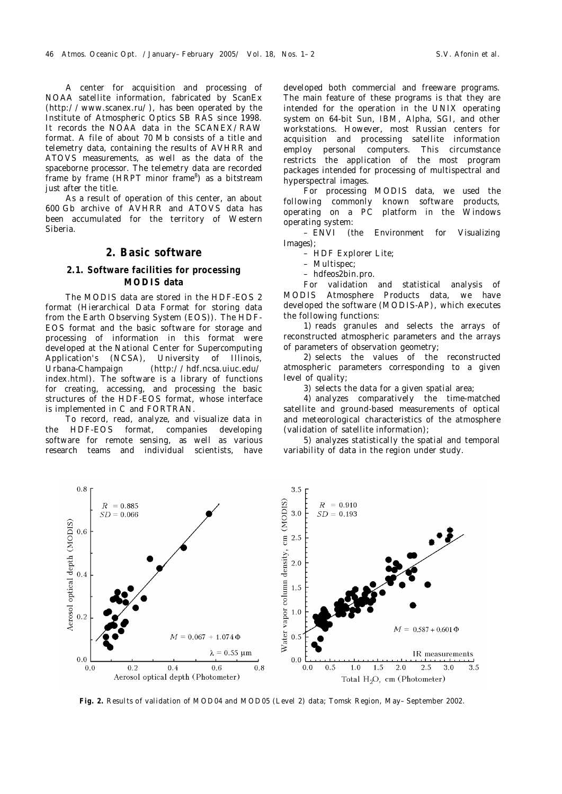A center for acquisition and processing of NOAA satellite information, fabricated by ScanEx (http://www.scanex.ru/), has been operated by the Institute of Atmospheric Optics SB RAS since 1998. It records the NOAA data in the SCANEX/RAW format. A file of about 70 Mb consists of a title and telemetry data, containing the results of AVHRR and ATOVS measurements, as well as the data of the spaceborne processor. The telemetry data are recorded frame by frame (HRPT minor frame<sup>8</sup>) as a bitstream just after the title.

As a result of operation of this center, an about 600 Gb archive of AVHRR and ATOVS data has been accumulated for the territory of Western Siberia.

## **2. Basic software**

### **2.1. Software facilities for processing MODIS data**

The MODIS data are stored in the HDF-EOS 2 format (Hierarchical Data Format for storing data from the Earth Observing System (EOS)). The HDF-EOS format and the basic software for storage and processing of information in this format were developed at the National Center for Supercomputing Application's (NCSA), University of Illinois, Urbana-Champaign (http://hdf.ncsa.uiuc.edu/ index.html). The software is a library of functions for creating, accessing, and processing the basic structures of the HDF-EOS format, whose interface is implemented in C and FORTRAN.

To record, read, analyze, and visualize data in the HDF-EOS format, companies developing software for remote sensing, as well as various research teams and individual scientists, have

developed both commercial and freeware programs. The main feature of these programs is that they are intended for the operation in the UNIX operating system on 64-bit Sun, IBM, Alpha, SGI, and other workstations. However, most Russian centers for acquisition and processing satellite information employ personal computers. This circumstance restricts the application of the most program packages intended for processing of multispectral and hyperspectral images.

For processing MODIS data, we used the<br>wing commonly known software products, following commonly known software operating on a PC platform in the Windows operating system:

– ENVI (the Environment for Visualizing Images);

- HDF Explorer Lite;
- Multispec;
- hdfeos2bin.pro.

For validation and statistical analysis of MODIS Atmosphere Products data, we have developed the software (MODIS-AP), which executes the following functions:

1) reads granules and selects the arrays of reconstructed atmospheric parameters and the arrays of parameters of observation geometry;

2) selects the values of the reconstructed atmospheric parameters corresponding to a given level of quality;

3) selects the data for a given spatial area;

4) analyzes comparatively the time-matched satellite and ground-based measurements of optical and meteorological characteristics of the atmosphere (validation of satellite information);

5) analyzes statistically the spatial and temporal variability of data in the region under study.



**Fig. 2.** Results of validation of MOD04 and MOD05 (Level 2) data; Tomsk Region, May–September 2002.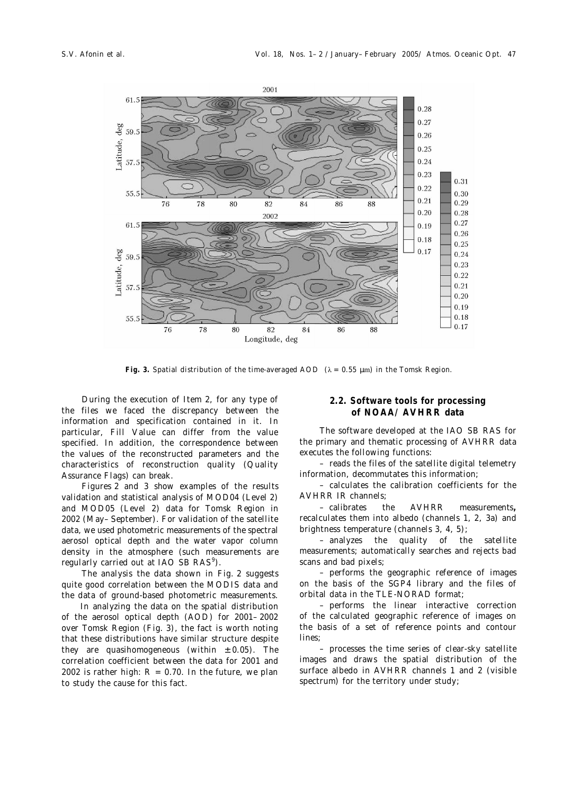

Fig. 3. Spatial distribution of the time-averaged AOD  $(\lambda = 0.55 \mu m)$  in the Tomsk Region.

During the execution of Item 2, for any type of the files we faced the discrepancy between the information and specification contained in it. In particular, Fill Value can differ from the value specified. In addition, the correspondence between the values of the reconstructed parameters and the characteristics of reconstruction quality (Quality Assurance Flags) can break.

Figures 2 and 3 show examples of the results validation and statistical analysis of MOD04 (Level 2) and MOD05 (Level 2) data for Tomsk Region in 2002 (May–September). For validation of the satellite data, we used photometric measurements of the spectral aerosol optical depth and the water vapor column density in the atmosphere (such measurements are regularly carried out at IAO SB RAS<sup>9</sup>).

The analysis the data shown in Fig. 2 suggests quite good correlation between the MODIS data and the data of ground-based photometric measurements.

 In analyzing the data on the spatial distribution of the aerosol optical depth (AOD) for 2001–2002 over Tomsk Region (Fig. 3), the fact is worth noting that these distributions have similar structure despite they are quasihomogeneous (within  $\pm$  0.05). The correlation coefficient between the data for 2001 and 2002 is rather high:  $R = 0.70$ . In the future, we plan to study the cause for this fact.

## **2.2. Software tools for processing of NOAA/AVHRR data**

The software developed at the IAO SB RAS for the primary and thematic processing of AVHRR data executes the following functions:

– reads the files of the satellite digital telemetry information, decommutates this information;

– calculates the calibration coefficients for the AVHRR IR channels;

– calibrates the AVHRR measurements**,** recalculates them into albedo (channels 1, 2, 3a) and brightness temperature (channels 3, 4, 5);

– analyzes the quality of the satellite measurements; automatically searches and rejects bad scans and bad pixels;

– performs the geographic reference of images on the basis of the SGP4 library and the files of orbital data in the TLE-NORAD format;

– performs the linear interactive correction of the calculated geographic reference of images on the basis of a set of reference points and contour lines;

– processes the time series of clear-sky satellite images and draws the spatial distribution of the surface albedo in AVHRR channels 1 and 2 (visible spectrum) for the territory under study;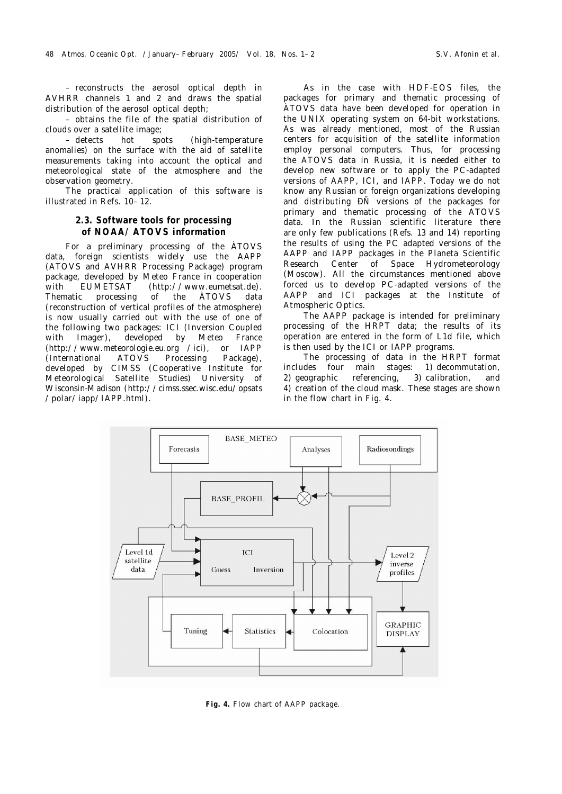– reconstructs the aerosol optical depth in AVHRR channels 1 and 2 and draws the spatial distribution of the aerosol optical depth;

– obtains the file of the spatial distribution of clouds over a satellite image;

– detects hot spots (high-temperature anomalies) on the surface with the aid of satellite measurements taking into account the optical and meteorological state of the atmosphere and the observation geometry.

The practical application of this software is illustrated in Refs. 10–12.

## **2.3. Software tools for processing of NOAA/ATOVS information**

For a preliminary processing of the ÀTOVS data, foreign scientists widely use the AAPP (ATOVS and AVHRR Processing Package) program package, developed by Meteo France in cooperation with EUMETSAT (http://www.eumetsat.de). Thematic processing of the ÀTOVS data (reconstruction of vertical profiles of the atmosphere) is now usually carried out with the use of one of the following two packages: ICI (Inversion Coupled with Imager), developed by Meteo France (http://www.meteorologie.eu.org /ici), or IAPP (International ATOVS Processing Package), developed by CIMSS (Cooperative Institute for Meteorological Satellite Studies) University of Wisconsin-Madison (http://cimss.ssec.wisc.edu/opsats /polar/iapp/IAPP.html).

As in the case with HDF-EOS files, the packages for primary and thematic processing of ÀTOVS data have been developed for operation in the UNIX operating system on 64-bit workstations. As was already mentioned, most of the Russian centers for acquisition of the satellite information employ personal computers. Thus, for processing the ATOVS data in Russia, it is needed either to develop new software or to apply the PC-adapted versions of AAPP, ICI, and IAPP. Today we do not know any Russian or foreign organizations developing and distributing ÐÑ versions of the packages for primary and thematic processing of the ATOVS data. In the Russian scientific literature there are only few publications (Refs. 13 and 14) reporting the results of using the PC adapted versions of the AAPP and IAPP packages in the Planeta Scientific Research Center of Space Hydrometeorology (Moscow). All the circumstances mentioned above forced us to develop PC-adapted versions of the AAPP and ICI packages at the Institute of Atmospheric Optics.

The AAPP package is intended for preliminary processing of the HRPT data; the results of its operation are entered in the form of L1d file, which is then used by the ICI or IAPP programs.

The processing of data in the HRPT format includes four main stages: 1) decommutation, 2) geographic referencing, 3) calibration, and 4) creation of the cloud mask. These stages are shown in the flow chart in Fig. 4.



**Fig. 4.** Flow chart of AAPP package.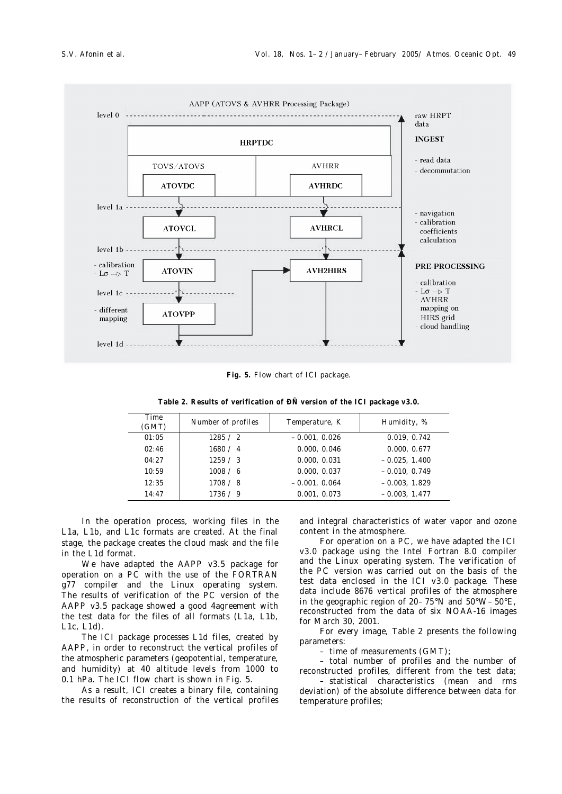

**Fig. 5.** Flow chart of ICI package.

| Time<br>(GMT) | Number of profiles | Temperature, K  | Humidity, %     |
|---------------|--------------------|-----------------|-----------------|
| 01:05         | 1285 / 2           | $-0.001, 0.026$ | 0.019, 0.742    |
| 02:46         | 1680 / 4           | 0.000, 0.046    | 0.000, 0.677    |
| 04:27         | 1259 / 3           | 0.000, 0.031    | $-0.025, 1.400$ |
| 10:59         | 1008 / 6           | 0.000, 0.037    | $-0.010, 0.749$ |
| 12:35         | 1708 / 8           | $-0.001, 0.064$ | $-0.003, 1.829$ |
| 14:47         | 1736 / 9           | 0.001, 0.073    | $-0.003, 1.477$ |

**Table 2. Results of verification of ÐÑ version of the ICI package v3.0.**

In the operation process, working files in the L1a, L1b, and L1c formats are created. At the final stage, the package creates the cloud mask and the file in the L1d format.

We have adapted the AAPP v3.5 package for operation on a PC with the use of the FORTRAN g77 compiler and the Linux operating system. The results of verification of the PC version of the AAPP v3.5 package showed a good 4agreement with the test data for the files of all formats (L1a, L1b, L1c, L1d).

The ICI package processes L1d files, created by AAPP, in order to reconstruct the vertical profiles of the atmospheric parameters (geopotential, temperature, and humidity) at 40 altitude levels from 1000 to 0.1 hPa. The ICI flow chart is shown in Fig. 5.

As a result, ICI creates a binary file, containing the results of reconstruction of the vertical profiles and integral characteristics of water vapor and ozone content in the atmosphere.

For operation on a PC, we have adapted the ICI v3.0 package using the Intel Fortran 8.0 compiler and the Linux operating system. The verification of the PC version was carried out on the basis of the test data enclosed in the ICI v3.0 package. These data include 8676 vertical profiles of the atmosphere in the geographic region of 20–75°N and 50°W–50°E, reconstructed from the data of six NOAA-16 images for March 30, 2001.

For every image, Table 2 presents the following parameters:

– time of measurements (GMT);

– total number of profiles and the number of reconstructed profiles, different from the test data;

 – statistical characteristics (mean and rms deviation) of the absolute difference between data for temperature profiles;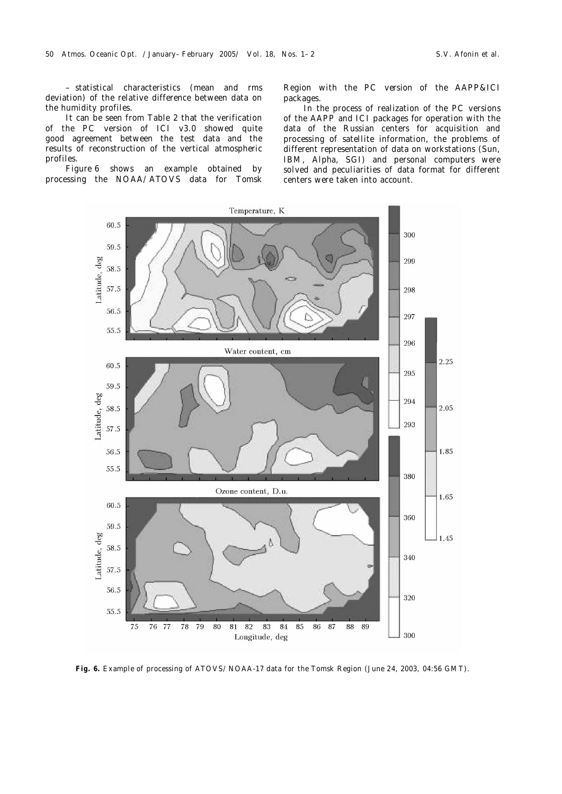– statistical characteristics (mean and rms deviation) of the relative difference between data on the humidity profiles.

It can be seen from Table 2 that the verification of the PC version of ICI v3.0 showed quite good agreement between the test data and the results of reconstruction of the vertical atmospheric profiles.

Figure 6 shows an example obtained by processing the NOAA/ATOVS data for Tomsk

Region with the PC version of the AAPP&ICI packages.

In the process of realization of the PC versions of the AAPP and ICI packages for operation with the data of the Russian centers for acquisition and processing of satellite information, the problems of different representation of data on workstations (Sun, IBM, Alpha, SGI) and personal computers were solved and peculiarities of data format for different centers were taken into account.



**Fig. 6.** Example of processing of ATOVS/NOAA-17 data for the Tomsk Region (June 24, 2003, 04:56 GMT).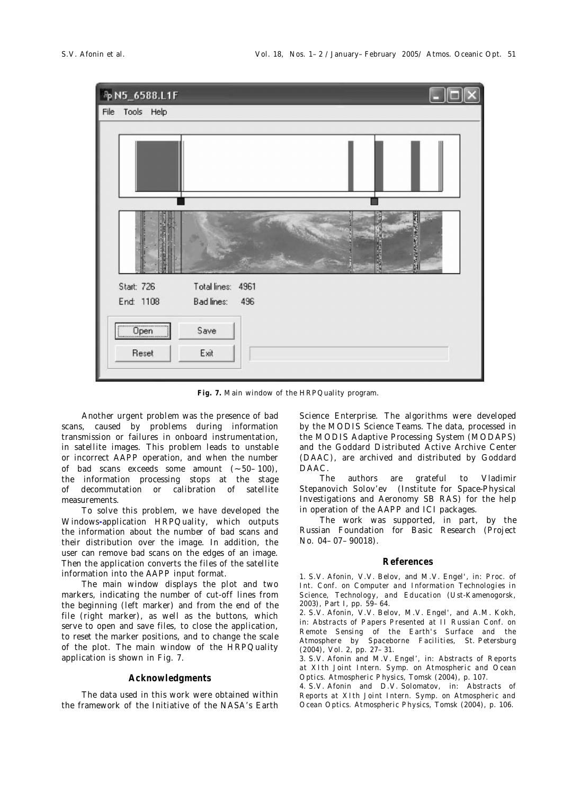

**Fig. 7.** Main window of the HRPQuality program.

Another urgent problem was the presence of bad scans, caused by problems during information transmission or failures in onboard instrumentation, in satellite images. This problem leads to unstable or incorrect AAPP operation, and when the number of bad scans exceeds some amount (∼ 50–100), the information processing stops at the stage of decommutation or calibration of satellite measurements.

To solve this problem, we have developed the Windows**-**application HRPQuality, which outputs the information about the number of bad scans and their distribution over the image. In addition, the user can remove bad scans on the edges of an image. Then the application converts the files of the satellite information into the AAPP input format.

The main window displays the plot and two markers, indicating the number of cut-off lines from the beginning (left marker) and from the end of the file (right marker), as well as the buttons, which serve to open and save files, to close the application, to reset the marker positions, and to change the scale of the plot. The main window of the HRPQuality application is shown in Fig. 7.

#### **Acknowledgments**

The data used in this work were obtained within the framework of the Initiative of the NASA's Earth Science Enterprise. The algorithms were developed by the MODIS Science Teams. The data, processed in the MODIS Adaptive Processing System (MODAPS) and the Goddard Distributed Active Archive Center (DAAC), are archived and distributed by Goddard DAAC.

The authors are grateful to Vladimir Stepanovich Solov'ev (Institute for Space-Physical Investigations and Aeronomy SB RAS) for the help in operation of the AAPP and ICI packages.

The work was supported, in part, by the Russian Foundation for Basic Research (Project No. 04–07–90018).

#### **References**

1. S.V. Afonin, V.V. Belov, and M.V. Engel', in: *Proc. of Int. Conf. on Computer and Information Technologies in Science, Technology, and Education* (Ust-Kamenogorsk, 2003), Part I, pp. 59–64.

2. S.V. Afonin, V.V. Belov, M.V. Engel', and A.M. Kokh, in: *Abstracts of Papers Presented at II Russian Conf. on Remote Sensing of the Earth's Surface and the Atmosphere by Spaceborne Facilities*, St. Petersburg (2004), Vol. 2, pp. 27–31.

3. S.V. Afonin and M.V. Engel', in: *Abstracts of Reports at XIth Joint Intern. Symp. on Atmospheric and Ocean Optics. Atmospheric Physics*, Tomsk (2004), p. 107.

4. S.V. Afonin and D.V. Solomatov, in: *Abstracts of Reports at XIth Joint Intern. Symp. on Atmospheric and Ocean Optics. Atmospheric Physics*, Tomsk (2004), p. 106.